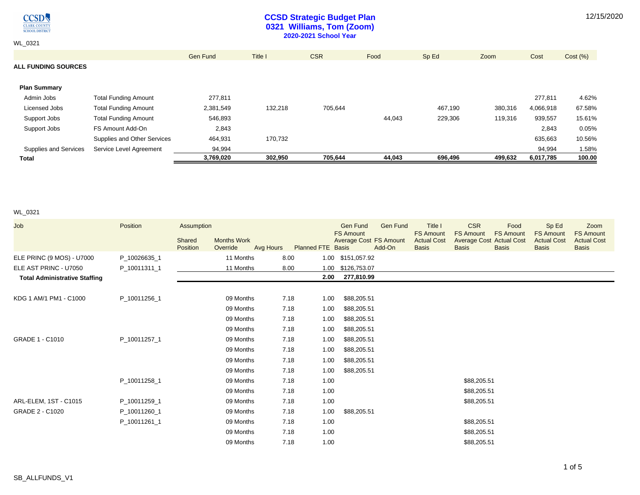

#### **CCSD Strategic Budget Plan 0321 Williams, Tom (Zoom) 2020-2021 School Year**

WL\_0321

|                              |                             | <b>Gen Fund</b> | Title I | <b>CSR</b> | Food   | Sp Ed   | Zoom    | Cost      | Cost (%) |
|------------------------------|-----------------------------|-----------------|---------|------------|--------|---------|---------|-----------|----------|
| <b>ALL FUNDING SOURCES</b>   |                             |                 |         |            |        |         |         |           |          |
| <b>Plan Summary</b>          |                             |                 |         |            |        |         |         |           |          |
| Admin Jobs                   | <b>Total Funding Amount</b> | 277,811         |         |            |        |         |         | 277,811   | 4.62%    |
| Licensed Jobs                | <b>Total Funding Amount</b> | 2,381,549       | 132,218 | 705,644    |        | 467,190 | 380,316 | 4,066,918 | 67.58%   |
| Support Jobs                 | <b>Total Funding Amount</b> | 546,893         |         |            | 44,043 | 229,306 | 119,316 | 939,557   | 15.61%   |
| Support Jobs                 | FS Amount Add-On            | 2,843           |         |            |        |         |         | 2,843     | 0.05%    |
|                              | Supplies and Other Services | 464,931         | 170,732 |            |        |         |         | 635,663   | 10.56%   |
| <b>Supplies and Services</b> | Service Level Agreement     | 94,994          |         |            |        |         |         | 94,994    | 1.58%    |
| <b>Total</b>                 |                             | 3,769,020       | 302,950 | 705,644    | 44,043 | 696,496 | 499,632 | 6,017,785 | 100.00   |

#### WL\_0321

| Job                                  | Position     | Assumption<br>Shared | <b>Months Work</b> |           |                          | <b>Gen Fund</b><br><b>FS Amount</b> | <b>Gen Fund</b><br>Average Cost FS Amount | Title I<br><b>FS Amount</b><br><b>Actual Cost</b> | <b>CSR</b><br><b>FS Amount</b><br><b>Average Cost Actual Cost</b> | Food<br><b>FS Amount</b> | Sp Ed<br><b>FS Amount</b><br><b>Actual Cost</b> | Zoom<br><b>FS Amount</b><br><b>Actual Cost</b> |
|--------------------------------------|--------------|----------------------|--------------------|-----------|--------------------------|-------------------------------------|-------------------------------------------|---------------------------------------------------|-------------------------------------------------------------------|--------------------------|-------------------------------------------------|------------------------------------------------|
|                                      |              | Position             | Override           | Avg Hours | <b>Planned FTE Basis</b> |                                     | Add-On                                    | <b>Basis</b>                                      | <b>Basis</b>                                                      | <b>Basis</b>             | <b>Basis</b>                                    | <b>Basis</b>                                   |
| ELE PRINC (9 MOS) - U7000            | P_10026635_1 |                      | 11 Months          | 8.00      | 1.00                     | \$151,057.92                        |                                           |                                                   |                                                                   |                          |                                                 |                                                |
| ELE AST PRINC - U7050                | P 10011311 1 |                      | 11 Months          | 8.00      | 1.00                     | \$126,753.07                        |                                           |                                                   |                                                                   |                          |                                                 |                                                |
| <b>Total Administrative Staffing</b> |              |                      |                    |           | 2.00                     | 277,810.99                          |                                           |                                                   |                                                                   |                          |                                                 |                                                |
|                                      |              |                      |                    |           |                          |                                     |                                           |                                                   |                                                                   |                          |                                                 |                                                |
| KDG 1 AM/1 PM1 - C1000               | P 10011256 1 |                      | 09 Months          | 7.18      | 1.00                     | \$88,205.51                         |                                           |                                                   |                                                                   |                          |                                                 |                                                |
|                                      |              |                      | 09 Months          | 7.18      | 1.00                     | \$88,205.51                         |                                           |                                                   |                                                                   |                          |                                                 |                                                |
|                                      |              |                      | 09 Months          | 7.18      | 1.00                     | \$88,205.51                         |                                           |                                                   |                                                                   |                          |                                                 |                                                |
|                                      |              |                      | 09 Months          | 7.18      | 1.00                     | \$88,205.51                         |                                           |                                                   |                                                                   |                          |                                                 |                                                |
| GRADE 1 - C1010                      | P_10011257_1 |                      | 09 Months          | 7.18      | 1.00                     | \$88,205.51                         |                                           |                                                   |                                                                   |                          |                                                 |                                                |
|                                      |              |                      | 09 Months          | 7.18      | 1.00                     | \$88,205.51                         |                                           |                                                   |                                                                   |                          |                                                 |                                                |
|                                      |              |                      | 09 Months          | 7.18      | 1.00                     | \$88,205.51                         |                                           |                                                   |                                                                   |                          |                                                 |                                                |
|                                      |              |                      | 09 Months          | 7.18      | 1.00                     | \$88,205.51                         |                                           |                                                   |                                                                   |                          |                                                 |                                                |
|                                      | P_10011258_1 |                      | 09 Months          | 7.18      | 1.00                     |                                     |                                           |                                                   | \$88,205.51                                                       |                          |                                                 |                                                |
|                                      |              |                      | 09 Months          | 7.18      | 1.00                     |                                     |                                           |                                                   | \$88,205.51                                                       |                          |                                                 |                                                |
| ARL-ELEM, 1ST - C1015                | P_10011259_1 |                      | 09 Months          | 7.18      | 1.00                     |                                     |                                           |                                                   | \$88,205.51                                                       |                          |                                                 |                                                |
| GRADE 2 - C1020                      | P_10011260_1 |                      | 09 Months          | 7.18      | 1.00                     | \$88,205.51                         |                                           |                                                   |                                                                   |                          |                                                 |                                                |
|                                      | P_10011261_1 |                      | 09 Months          | 7.18      | 1.00                     |                                     |                                           |                                                   | \$88,205.51                                                       |                          |                                                 |                                                |
|                                      |              |                      | 09 Months          | 7.18      | 1.00                     |                                     |                                           |                                                   | \$88,205.51                                                       |                          |                                                 |                                                |
|                                      |              |                      | 09 Months          | 7.18      | 1.00                     |                                     |                                           |                                                   | \$88,205.51                                                       |                          |                                                 |                                                |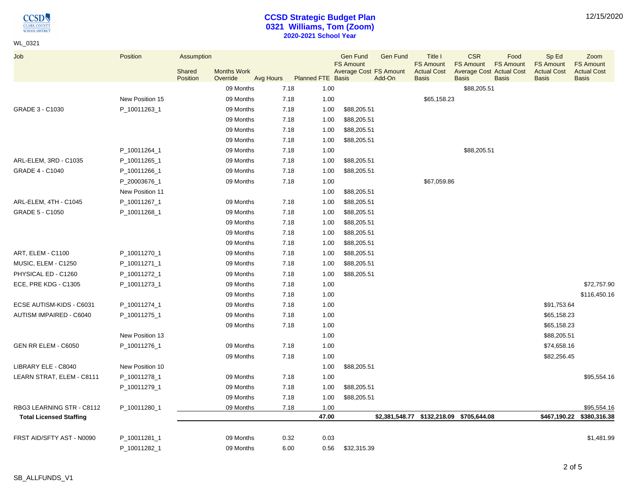$\underset{\frac{\text{CLARK COUNTY}}{\text{C}\text{LARK COUNTY}}}{{\color{red}\text{C}\text{C}}}\nonumber\\$ 

## **CCSD Strategic Budget Plan 0321 Williams, Tom (Zoom) 2020-2021 School Year**

| WL_0321                        |                 |                                  |                                |           |                          |                                                               |                           |                                                                          |                                                                                   |                                          |                                                                 |                                                                |
|--------------------------------|-----------------|----------------------------------|--------------------------------|-----------|--------------------------|---------------------------------------------------------------|---------------------------|--------------------------------------------------------------------------|-----------------------------------------------------------------------------------|------------------------------------------|-----------------------------------------------------------------|----------------------------------------------------------------|
| Job                            | Position        | Assumption<br>Shared<br>Position | <b>Months Work</b><br>Override | Avg Hours | <b>Planned FTE Basis</b> | <b>Gen Fund</b><br><b>FS Amount</b><br>Average Cost FS Amount | <b>Gen Fund</b><br>Add-On | <b>Title I</b><br><b>FS Amount</b><br><b>Actual Cost</b><br><b>Basis</b> | <b>CSR</b><br><b>FS Amount</b><br><b>Average Cost Actual Cost</b><br><b>Basis</b> | Food<br><b>FS Amount</b><br><b>Basis</b> | Sp Ed<br><b>FS Amount</b><br><b>Actual Cost</b><br><b>Basis</b> | Zoom<br><b>FS Amount</b><br><b>Actual Cost</b><br><b>Basis</b> |
|                                |                 |                                  | 09 Months                      | 7.18      | 1.00                     |                                                               |                           |                                                                          | \$88,205.51                                                                       |                                          |                                                                 |                                                                |
|                                | New Position 15 |                                  | 09 Months                      | 7.18      | 1.00                     |                                                               |                           | \$65,158.23                                                              |                                                                                   |                                          |                                                                 |                                                                |
| GRADE 3 - C1030                | P_10011263_1    |                                  | 09 Months                      | 7.18      | 1.00                     | \$88,205.51                                                   |                           |                                                                          |                                                                                   |                                          |                                                                 |                                                                |
|                                |                 |                                  | 09 Months                      | 7.18      | 1.00                     | \$88,205.51                                                   |                           |                                                                          |                                                                                   |                                          |                                                                 |                                                                |
|                                |                 |                                  | 09 Months                      | 7.18      | 1.00                     | \$88,205.51                                                   |                           |                                                                          |                                                                                   |                                          |                                                                 |                                                                |
|                                |                 |                                  | 09 Months                      | 7.18      | 1.00                     | \$88,205.51                                                   |                           |                                                                          |                                                                                   |                                          |                                                                 |                                                                |
|                                | P_10011264_1    |                                  | 09 Months                      | 7.18      | 1.00                     |                                                               |                           |                                                                          | \$88,205.51                                                                       |                                          |                                                                 |                                                                |
| ARL-ELEM, 3RD - C1035          | P_10011265_1    |                                  | 09 Months                      | 7.18      | 1.00                     | \$88,205.51                                                   |                           |                                                                          |                                                                                   |                                          |                                                                 |                                                                |
| <b>GRADE 4 - C1040</b>         | P_10011266_1    |                                  | 09 Months                      | 7.18      | 1.00                     | \$88,205.51                                                   |                           |                                                                          |                                                                                   |                                          |                                                                 |                                                                |
|                                | P_20003676_1    |                                  | 09 Months                      | 7.18      | 1.00                     |                                                               |                           | \$67,059.86                                                              |                                                                                   |                                          |                                                                 |                                                                |
|                                | New Position 11 |                                  |                                |           | 1.00                     | \$88,205.51                                                   |                           |                                                                          |                                                                                   |                                          |                                                                 |                                                                |
| ARL-ELEM, 4TH - C1045          | P_10011267_1    |                                  | 09 Months                      | 7.18      | 1.00                     | \$88,205.51                                                   |                           |                                                                          |                                                                                   |                                          |                                                                 |                                                                |
| GRADE 5 - C1050                | P_10011268_1    |                                  | 09 Months                      | 7.18      | 1.00                     | \$88,205.51                                                   |                           |                                                                          |                                                                                   |                                          |                                                                 |                                                                |
|                                |                 |                                  | 09 Months                      | 7.18      | 1.00                     | \$88,205.51                                                   |                           |                                                                          |                                                                                   |                                          |                                                                 |                                                                |
|                                |                 |                                  | 09 Months                      | 7.18      | 1.00                     | \$88,205.51                                                   |                           |                                                                          |                                                                                   |                                          |                                                                 |                                                                |
|                                |                 |                                  | 09 Months                      | 7.18      | 1.00                     | \$88,205.51                                                   |                           |                                                                          |                                                                                   |                                          |                                                                 |                                                                |
| ART, ELEM - C1100              | P_10011270_1    |                                  | 09 Months                      | 7.18      | 1.00                     | \$88,205.51                                                   |                           |                                                                          |                                                                                   |                                          |                                                                 |                                                                |
| MUSIC, ELEM - C1250            | P_10011271_1    |                                  | 09 Months                      | 7.18      | 1.00                     | \$88,205.51                                                   |                           |                                                                          |                                                                                   |                                          |                                                                 |                                                                |
| PHYSICAL ED - C1260            | P_10011272_1    |                                  | 09 Months                      | 7.18      | 1.00                     | \$88,205.51                                                   |                           |                                                                          |                                                                                   |                                          |                                                                 |                                                                |
| ECE, PRE KDG - C1305           | P_10011273_1    |                                  | 09 Months                      | 7.18      | 1.00                     |                                                               |                           |                                                                          |                                                                                   |                                          |                                                                 | \$72,757.90                                                    |
|                                |                 |                                  | 09 Months                      | 7.18      | 1.00                     |                                                               |                           |                                                                          |                                                                                   |                                          |                                                                 | \$116,450.16                                                   |
| ECSE AUTISM-KIDS - C6031       | P_10011274_1    |                                  | 09 Months                      | 7.18      | 1.00                     |                                                               |                           |                                                                          |                                                                                   |                                          | \$91,753.64                                                     |                                                                |
| AUTISM IMPAIRED - C6040        | P_10011275_1    |                                  | 09 Months                      | 7.18      | 1.00                     |                                                               |                           |                                                                          |                                                                                   |                                          | \$65,158.23                                                     |                                                                |
|                                |                 |                                  | 09 Months                      | 7.18      | 1.00                     |                                                               |                           |                                                                          |                                                                                   |                                          | \$65,158.23                                                     |                                                                |
|                                | New Position 13 |                                  |                                |           | 1.00                     |                                                               |                           |                                                                          |                                                                                   |                                          | \$88,205.51                                                     |                                                                |
| GEN RR ELEM - C6050            | P_10011276_1    |                                  | 09 Months                      | 7.18      | 1.00                     |                                                               |                           |                                                                          |                                                                                   |                                          | \$74,658.16                                                     |                                                                |
|                                |                 |                                  | 09 Months                      | 7.18      | 1.00                     |                                                               |                           |                                                                          |                                                                                   |                                          | \$82,256.45                                                     |                                                                |
| LIBRARY ELE - C8040            | New Position 10 |                                  |                                |           | 1.00                     | \$88,205.51                                                   |                           |                                                                          |                                                                                   |                                          |                                                                 |                                                                |
| LEARN STRAT, ELEM - C8111      | P_10011278_1    |                                  | 09 Months                      | 7.18      | 1.00                     |                                                               |                           |                                                                          |                                                                                   |                                          |                                                                 | \$95,554.16                                                    |
|                                | P_10011279_1    |                                  | 09 Months                      | 7.18      | 1.00                     | \$88,205.51                                                   |                           |                                                                          |                                                                                   |                                          |                                                                 |                                                                |
|                                |                 |                                  | 09 Months                      | 7.18      | 1.00                     | \$88,205.51                                                   |                           |                                                                          |                                                                                   |                                          |                                                                 |                                                                |
| RBG3 LEARNING STR - C8112      | P_10011280_1    |                                  | 09 Months                      | 7.18      | 1.00                     |                                                               |                           |                                                                          |                                                                                   |                                          |                                                                 | \$95,554.16                                                    |
| <b>Total Licensed Staffing</b> |                 |                                  |                                |           | 47.00                    |                                                               |                           | \$2,381,548.77 \$132,218.09 \$705,644.08                                 |                                                                                   |                                          | \$467,190.22                                                    | \$380,316.38                                                   |
|                                |                 |                                  |                                |           |                          |                                                               |                           |                                                                          |                                                                                   |                                          |                                                                 |                                                                |
| FRST AID/SFTY AST - N0090      | P_10011281_1    |                                  | 09 Months                      | 0.32      | 0.03                     |                                                               |                           |                                                                          |                                                                                   |                                          |                                                                 | \$1,481.99                                                     |
|                                | P_10011282_1    |                                  | 09 Months                      | 6.00      | 0.56                     | \$32,315.39                                                   |                           |                                                                          |                                                                                   |                                          |                                                                 |                                                                |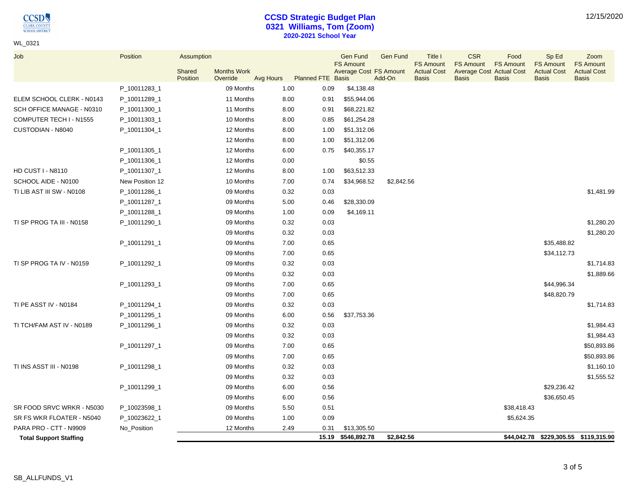**CCSD** CLARK COUNTY<br>SCHOOL DISTRICT

WL\_0321

#### **CCSD Strategic Budget Plan 0321 Williams, Tom (Zoom) 2020-2021 School Year**

| 12/15/2020 |  |
|------------|--|
|------------|--|

| Job                           | Position        | Assumption         |                                |           |                          | <b>Gen Fund</b><br><b>FS Amount</b> | <b>Gen Fund</b> | <b>Title I</b><br><b>FS Amount</b> | <b>CSR</b><br><b>FS Amount</b>                  | Food<br><b>FS Amount</b> | Sp Ed<br><b>FS Amount</b>          | Zoom<br><b>FS Amount</b>              |
|-------------------------------|-----------------|--------------------|--------------------------------|-----------|--------------------------|-------------------------------------|-----------------|------------------------------------|-------------------------------------------------|--------------------------|------------------------------------|---------------------------------------|
|                               |                 | Shared<br>Position | <b>Months Work</b><br>Override | Avg Hours | <b>Planned FTE Basis</b> | Average Cost FS Amount              | Add-On          | <b>Actual Cost</b><br><b>Basis</b> | <b>Average Cost Actual Cost</b><br><b>Basis</b> | <b>Basis</b>             | <b>Actual Cost</b><br><b>Basis</b> | <b>Actual Cost</b><br><b>Basis</b>    |
|                               | P_10011283_1    |                    | 09 Months                      | 1.00      | 0.09                     | \$4,138.48                          |                 |                                    |                                                 |                          |                                    |                                       |
| ELEM SCHOOL CLERK - N0143     | P_10011289_1    |                    | 11 Months                      | 8.00      | 0.91                     | \$55,944.06                         |                 |                                    |                                                 |                          |                                    |                                       |
| SCH OFFICE MANAGE - N0310     | P_10011300_1    |                    | 11 Months                      | 8.00      | 0.91                     | \$68,221.82                         |                 |                                    |                                                 |                          |                                    |                                       |
| COMPUTER TECH I - N1555       | P_10011303_1    |                    | 10 Months                      | 8.00      | 0.85                     | \$61,254.28                         |                 |                                    |                                                 |                          |                                    |                                       |
| CUSTODIAN - N8040             | P_10011304_1    |                    | 12 Months                      | 8.00      | 1.00                     | \$51,312.06                         |                 |                                    |                                                 |                          |                                    |                                       |
|                               |                 |                    | 12 Months                      | 8.00      | 1.00                     | \$51,312.06                         |                 |                                    |                                                 |                          |                                    |                                       |
|                               | P_10011305_1    |                    | 12 Months                      | 6.00      | 0.75                     | \$40,355.17                         |                 |                                    |                                                 |                          |                                    |                                       |
|                               | P_10011306_1    |                    | 12 Months                      | 0.00      |                          | \$0.55                              |                 |                                    |                                                 |                          |                                    |                                       |
| HD CUST I - N8110             | P_10011307_1    |                    | 12 Months                      | 8.00      | 1.00                     | \$63,512.33                         |                 |                                    |                                                 |                          |                                    |                                       |
| SCHOOL AIDE - N0100           | New Position 12 |                    | 10 Months                      | 7.00      | 0.74                     | \$34,968.52                         | \$2,842.56      |                                    |                                                 |                          |                                    |                                       |
| TI LIB AST III SW - N0108     | P_10011286_1    |                    | 09 Months                      | 0.32      | 0.03                     |                                     |                 |                                    |                                                 |                          |                                    | \$1,481.99                            |
|                               | P_10011287_1    |                    | 09 Months                      | 5.00      | 0.46                     | \$28,330.09                         |                 |                                    |                                                 |                          |                                    |                                       |
|                               | P_10011288_1    |                    | 09 Months                      | 1.00      | 0.09                     | \$4,169.11                          |                 |                                    |                                                 |                          |                                    |                                       |
| TI SP PROG TA III - N0158     | P_10011290_1    |                    | 09 Months                      | 0.32      | 0.03                     |                                     |                 |                                    |                                                 |                          |                                    | \$1,280.20                            |
|                               |                 |                    | 09 Months                      | 0.32      | 0.03                     |                                     |                 |                                    |                                                 |                          |                                    | \$1,280.20                            |
|                               | P_10011291_1    |                    | 09 Months                      | 7.00      | 0.65                     |                                     |                 |                                    |                                                 |                          | \$35,488.82                        |                                       |
|                               |                 |                    | 09 Months                      | 7.00      | 0.65                     |                                     |                 |                                    |                                                 |                          | \$34,112.73                        |                                       |
| TI SP PROG TA IV - N0159      | P_10011292_1    |                    | 09 Months                      | 0.32      | 0.03                     |                                     |                 |                                    |                                                 |                          |                                    | \$1,714.83                            |
|                               |                 |                    | 09 Months                      | 0.32      | 0.03                     |                                     |                 |                                    |                                                 |                          |                                    | \$1,889.66                            |
|                               | P_10011293_1    |                    | 09 Months                      | 7.00      | 0.65                     |                                     |                 |                                    |                                                 |                          | \$44,996.34                        |                                       |
|                               |                 |                    | 09 Months                      | 7.00      | 0.65                     |                                     |                 |                                    |                                                 |                          | \$48,820.79                        |                                       |
| TI PE ASST IV - N0184         | P_10011294_1    |                    | 09 Months                      | 0.32      | 0.03                     |                                     |                 |                                    |                                                 |                          |                                    | \$1,714.83                            |
|                               | P_10011295_1    |                    | 09 Months                      | 6.00      | 0.56                     | \$37,753.36                         |                 |                                    |                                                 |                          |                                    |                                       |
| TI TCH/FAM AST IV - N0189     | P_10011296_1    |                    | 09 Months                      | 0.32      | 0.03                     |                                     |                 |                                    |                                                 |                          |                                    | \$1,984.43                            |
|                               |                 |                    | 09 Months                      | 0.32      | 0.03                     |                                     |                 |                                    |                                                 |                          |                                    | \$1,984.43                            |
|                               | P_10011297_1    |                    | 09 Months                      | 7.00      | 0.65                     |                                     |                 |                                    |                                                 |                          |                                    | \$50,893.86                           |
|                               |                 |                    | 09 Months                      | 7.00      | 0.65                     |                                     |                 |                                    |                                                 |                          |                                    | \$50,893.86                           |
| TI INS ASST III - N0198       | P_10011298_1    |                    | 09 Months                      | 0.32      | 0.03                     |                                     |                 |                                    |                                                 |                          |                                    | \$1,160.10                            |
|                               |                 |                    | 09 Months                      | 0.32      | 0.03                     |                                     |                 |                                    |                                                 |                          |                                    | \$1,555.52                            |
|                               | P_10011299_1    |                    | 09 Months                      | 6.00      | 0.56                     |                                     |                 |                                    |                                                 |                          | \$29,236.42                        |                                       |
|                               |                 |                    | 09 Months                      | 6.00      | 0.56                     |                                     |                 |                                    |                                                 |                          | \$36,650.45                        |                                       |
| SR FOOD SRVC WRKR - N5030     | P_10023598_1    |                    | 09 Months                      | 5.50      | 0.51                     |                                     |                 |                                    |                                                 | \$38,418.43              |                                    |                                       |
| SR FS WKR FLOATER - N5040     | P_10023622_1    |                    | 09 Months                      | 1.00      | 0.09                     |                                     |                 |                                    |                                                 | \$5,624.35               |                                    |                                       |
| PARA PRO - CTT - N9909        | No_Position     |                    | 12 Months                      | 2.49      | 0.31                     | \$13,305.50                         |                 |                                    |                                                 |                          |                                    |                                       |
| <b>Total Support Staffing</b> |                 |                    |                                |           |                          | 15.19 \$546,892.78                  | \$2,842.56      |                                    |                                                 |                          |                                    | \$44,042.78 \$229,305.55 \$119,315.90 |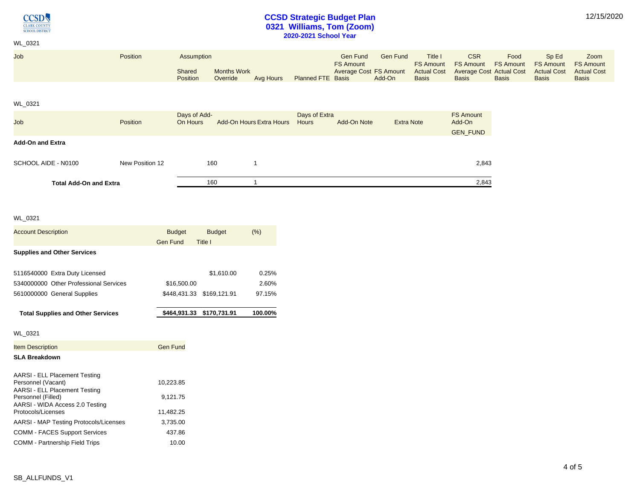**CCSD CLARK COUNTY**<br>SCHOOL DISTRICT

## **CCSD Strategic Budget Plan 0321 Williams, Tom (Zoom) 2020-2021 School Year**

# WL\_0321

| Job                           | Position        | Assumption               |                                |                                 |                               | Gen Fund<br><b>FS Amount</b> | <b>Gen Fund</b>   | Title I<br><b>FS Amount</b>        | <b>CSR</b><br><b>FS Amount</b>                  | Food<br><b>FS Amount</b> | Sp Ed<br><b>FS Amount</b>          | Zoom<br><b>FS Amount</b>           |
|-------------------------------|-----------------|--------------------------|--------------------------------|---------------------------------|-------------------------------|------------------------------|-------------------|------------------------------------|-------------------------------------------------|--------------------------|------------------------------------|------------------------------------|
|                               |                 | Shared<br>Position       | <b>Months Work</b><br>Override | Avg Hours                       | <b>Planned FTE Basis</b>      | Average Cost FS Amount       | Add-On            | <b>Actual Cost</b><br><b>Basis</b> | <b>Average Cost Actual Cost</b><br><b>Basis</b> | <b>Basis</b>             | <b>Actual Cost</b><br><b>Basis</b> | <b>Actual Cost</b><br><b>Basis</b> |
|                               |                 |                          |                                |                                 |                               |                              |                   |                                    |                                                 |                          |                                    |                                    |
| WL 0321                       |                 |                          |                                |                                 |                               |                              |                   |                                    |                                                 |                          |                                    |                                    |
| Job                           | Position        | Days of Add-<br>On Hours |                                | <b>Add-On Hours Extra Hours</b> | Days of Extra<br><b>Hours</b> | Add-On Note                  | <b>Extra Note</b> |                                    | <b>FS Amount</b><br>Add-On                      |                          |                                    |                                    |
|                               |                 |                          |                                |                                 |                               |                              |                   |                                    | <b>GEN FUND</b>                                 |                          |                                    |                                    |
| <b>Add-On and Extra</b>       |                 |                          |                                |                                 |                               |                              |                   |                                    |                                                 |                          |                                    |                                    |
| SCHOOL AIDE - N0100           | New Position 12 | 160                      |                                |                                 |                               |                              |                   |                                    | 2,843                                           |                          |                                    |                                    |
| <b>Total Add-On and Extra</b> |                 | 160                      |                                |                                 |                               |                              |                   |                                    | 2,843                                           |                          |                                    |                                    |

#### WL\_0321

| <b>Account Description</b>                                                                                                                                                 | <b>Budget</b><br><b>Gen Fund</b>   | <b>Budget</b><br>Title I  | (%)     |
|----------------------------------------------------------------------------------------------------------------------------------------------------------------------------|------------------------------------|---------------------------|---------|
| <b>Supplies and Other Services</b>                                                                                                                                         |                                    |                           |         |
| 5116540000 Extra Duty Licensed                                                                                                                                             |                                    | \$1,610.00                | 0.25%   |
| 5340000000 Other Professional Services                                                                                                                                     | \$16,500.00                        |                           | 2.60%   |
| 5610000000 General Supplies                                                                                                                                                |                                    | \$448,431.33 \$169,121.91 | 97.15%  |
| <b>Total Supplies and Other Services</b>                                                                                                                                   |                                    | \$464,931.33 \$170,731.91 | 100.00% |
| <b>WL 0321</b>                                                                                                                                                             |                                    |                           |         |
| <b>Item Description</b>                                                                                                                                                    | <b>Gen Fund</b>                    |                           |         |
| <b>SLA Breakdown</b>                                                                                                                                                       |                                    |                           |         |
| <b>AARSI - ELL Placement Testing</b><br>Personnel (Vacant)<br>AARSI - ELL Placement Testing<br>Personnel (Filled)<br>AARSI - WIDA Access 2.0 Testing<br>Protocols/Licenses | 10,223.85<br>9,121.75<br>11,482.25 |                           |         |
|                                                                                                                                                                            |                                    |                           |         |
| AARSI - MAP Testing Protocols/Licenses                                                                                                                                     | 3,735.00                           |                           |         |
| <b>COMM - FACES Support Services</b>                                                                                                                                       | 437.86                             |                           |         |
| <b>COMM - Partnership Field Trips</b>                                                                                                                                      | 10.00                              |                           |         |